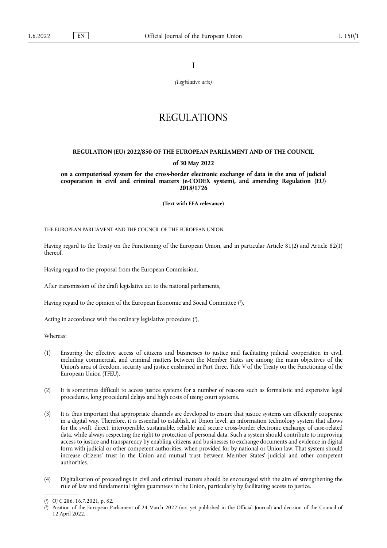I

*(Legislative acts)*

# REGULATIONS

# **REGULATION (EU) 2022/850 OF THE EUROPEAN PARLIAMENT AND OF THE COUNCIL of 30 May 2022**

**on a computerised system for the cross-border electronic exchange of data in the area of judicial cooperation in civil and criminal matters (e-CODEX system), and amending Regulation (EU) 2018/1726** 

**(Text with EEA relevance)** 

THE EUROPEAN PARLIAMENT AND THE COUNCIL OF THE EUROPEAN UNION,

Having regard to the Treaty on the Functioning of the European Union, and in particular Article 81(2) and Article 82(1) thereof,

Having regard to the proposal from the European Commission,

After transmission of the draft legislative act to the national parliaments,

<span id="page-0-2"></span>Having regard to the opinion of the European Economic and Social Committee ( 1 [\),](#page-0-0)

<span id="page-0-3"></span>Acting in accordance with the ordinary legislative procedure [\(](#page-0-1)2),

Whereas:

- (1) Ensuring the effective access of citizens and businesses to justice and facilitating judicial cooperation in civil, including commercial, and criminal matters between the Member States are among the main objectives of the Union's area of freedom, security and justice enshrined in Part three, Title V of the Treaty on the Functioning of the European Union (TFEU).
- (2) It is sometimes difficult to access justice systems for a number of reasons such as formalistic and expensive legal procedures, long procedural delays and high costs of using court systems.
- (3) It is thus important that appropriate channels are developed to ensure that justice systems can efficiently cooperate in a digital way. Therefore, it is essential to establish, at Union level, an information technology system that allows for the swift, direct, interoperable, sustainable, reliable and secure cross-border electronic exchange of case-related data, while always respecting the right to protection of personal data. Such a system should contribute to improving access to justice and transparency by enabling citizens and businesses to exchange documents and evidence in digital form with judicial or other competent authorities, when provided for by national or Union law. That system should increase citizens' trust in the Union and mutual trust between Member States' judicial and other competent authorities.
- (4) Digitalisation of proceedings in civil and criminal matters should be encouraged with the aim of strengthening the rule of law and fundamental rights guarantees in the Union, particularly by facilitating access to justice.

<span id="page-0-0"></span>[<sup>\(</sup>](#page-0-2) 1 ) OJ C 286, 16.7.2021, p. 82.

<span id="page-0-1"></span>[<sup>\(</sup>](#page-0-3) 2 ) Position of the European Parliament of 24 March 2022 (not yet published in the Official Journal) and decision of the Council of 12 April 2022.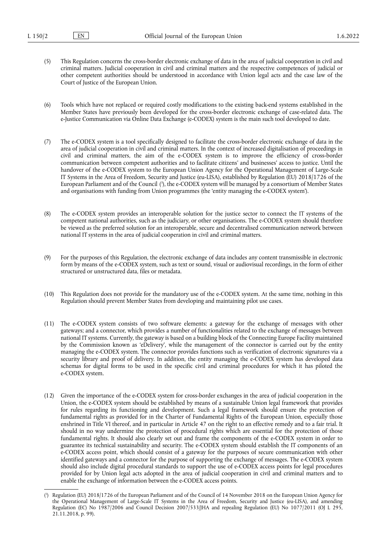- (5) This Regulation concerns the cross-border electronic exchange of data in the area of judicial cooperation in civil and criminal matters. Judicial cooperation in civil and criminal matters and the respective competences of judicial or other competent authorities should be understood in accordance with Union legal acts and the case law of the Court of Justice of the European Union.
- (6) Tools which have not replaced or required costly modifications to the existing back-end systems established in the Member States have previously been developed for the cross-border electronic exchange of case-related data. The e-Justice Communication via Online Data Exchange (e-CODEX) system is the main such tool developed to date.
- (7) The e-CODEX system is a tool specifically designed to facilitate the cross-border electronic exchange of data in the area of judicial cooperation in civil and criminal matters. In the context of increased digitalisation of proceedings in civil and criminal matters, the aim of the e-CODEX system is to improve the efficiency of cross-border communication between competent authorities and to facilitate citizens' and businesses' access to justice. Until the handover of the e-CODEX system to the European Union Agency for the Operational Management of Large-Scale IT Systems in the Area of Freedom, Security and Justice (eu-LISA), established by Regulation (EU) 2018/1726 of the European Parliament and of the Council ( 3 [\),](#page-1-0) the e-CODEX system will be managed by a consortium of Member States and organisations with funding from Union programmes (the 'entity managing the e-CODEX system').
- <span id="page-1-1"></span>(8) The e-CODEX system provides an interoperable solution for the justice sector to connect the IT systems of the competent national authorities, such as the judiciary, or other organisations. The e-CODEX system should therefore be viewed as the preferred solution for an interoperable, secure and decentralised communication network between national IT systems in the area of judicial cooperation in civil and criminal matters.
- (9) For the purposes of this Regulation, the electronic exchange of data includes any content transmissible in electronic form by means of the e-CODEX system, such as text or sound, visual or audiovisual recordings, in the form of either structured or unstructured data, files or metadata.
- (10) This Regulation does not provide for the mandatory use of the e-CODEX system. At the same time, nothing in this Regulation should prevent Member States from developing and maintaining pilot use cases.
- (11) The e-CODEX system consists of two software elements: a gateway for the exchange of messages with other gateways; and a connector, which provides a number of functionalities related to the exchange of messages between national IT systems. Currently, the gateway is based on a building block of the Connecting Europe Facility maintained by the Commission known as 'eDelivery', while the management of the connector is carried out by the entity managing the e-CODEX system. The connector provides functions such as verification of electronic signatures via a security library and proof of delivery. In addition, the entity managing the e-CODEX system has developed data schemas for digital forms to be used in the specific civil and criminal procedures for which it has piloted the e-CODEX system.
- (12) Given the importance of the e-CODEX system for cross-border exchanges in the area of judicial cooperation in the Union, the e-CODEX system should be established by means of a sustainable Union legal framework that provides for rules regarding its functioning and development. Such a legal framework should ensure the protection of fundamental rights as provided for in the Charter of Fundamental Rights of the European Union, especially those enshrined in Title VI thereof, and in particular in Article 47 on the right to an effective remedy and to a fair trial. It should in no way undermine the protection of procedural rights which are essential for the protection of those fundamental rights. It should also clearly set out and frame the components of the e-CODEX system in order to guarantee its technical sustainability and security. The e-CODEX system should establish the IT components of an e-CODEX access point, which should consist of a gateway for the purposes of secure communication with other identified gateways and a connector for the purpose of supporting the exchange of messages. The e-CODEX system should also include digital procedural standards to support the use of e-CODEX access points for legal procedures provided for by Union legal acts adopted in the area of judicial cooperation in civil and criminal matters and to enable the exchange of information between the e-CODEX access points.

<span id="page-1-0"></span>[<sup>\(</sup>](#page-1-1) 3 ) Regulation (EU) 2018/1726 of the European Parliament and of the Council of 14 November 2018 on the European Union Agency for the Operational Management of Large-Scale IT Systems in the Area of Freedom, Security and Justice (eu-LISA), and amending Regulation (EC) No 1987/2006 and Council Decision 2007/533/JHA and repealing Regulation (EU) No 1077/2011 (OJ L 295, 21.11.2018, p. 99).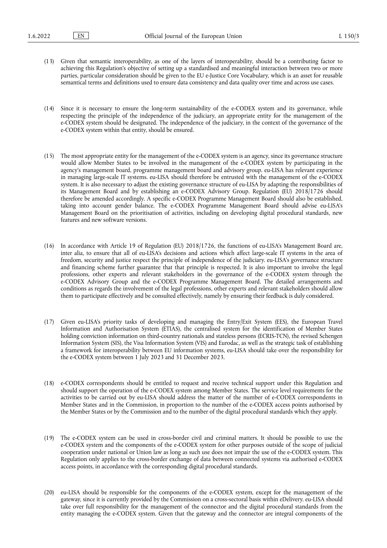- (13) Given that semantic interoperability, as one of the layers of interoperability, should be a contributing factor to achieving this Regulation's objective of setting up a standardised and meaningful interaction between two or more parties, particular consideration should be given to the EU e-Justice Core Vocabulary, which is an asset for reusable semantical terms and definitions used to ensure data consistency and data quality over time and across use cases.
- (14) Since it is necessary to ensure the long-term sustainability of the e-CODEX system and its governance, while respecting the principle of the independence of the judiciary, an appropriate entity for the management of the e-CODEX system should be designated. The independence of the judiciary, in the context of the governance of the e-CODEX system within that entity, should be ensured.
- (15) The most appropriate entity for the management of the e-CODEX system is an agency, since its governance structure would allow Member States to be involved in the management of the e-CODEX system by participating in the agency's management board, programme management board and advisory group. eu-LISA has relevant experience in managing large-scale IT systems. eu-LISA should therefore be entrusted with the management of the e-CODEX system. It is also necessary to adjust the existing governance structure of eu-LISA by adapting the responsibilities of its Management Board and by establishing an e-CODEX Advisory Group. Regulation (EU) 2018/1726 should therefore be amended accordingly. A specific e-CODEX Programme Management Board should also be established, taking into account gender balance. The e-CODEX Programme Management Board should advise eu-LISA's Management Board on the prioritisation of activities, including on developing digital procedural standards, new features and new software versions.
- (16) In accordance with Article 19 of Regulation (EU) 2018/1726, the functions of eu-LISA's Management Board are, inter alia, to ensure that all of eu-LISA's decisions and actions which affect large-scale IT systems in the area of freedom, security and justice respect the principle of independence of the judiciary. eu-LISA's governance structure and financing scheme further guarantee that that principle is respected. It is also important to involve the legal professions, other experts and relevant stakeholders in the governance of the e-CODEX system through the e-CODEX Advisory Group and the e-CODEX Programme Management Board. The detailed arrangements and conditions as regards the involvement of the legal professions, other experts and relevant stakeholders should allow them to participate effectively and be consulted effectively, namely by ensuring their feedback is duly considered.
- (17) Given eu-LISA's priority tasks of developing and managing the Entry/Exit System (EES), the European Travel Information and Authorisation System (ETIAS), the centralised system for the identification of Member States holding conviction information on third-country nationals and stateless persons (ECRIS-TCN), the revised Schengen Information System (SIS), the Visa Information System (VIS) and Eurodac, as well as the strategic task of establishing a framework for interoperability between EU information systems, eu-LISA should take over the responsibility for the e-CODEX system between 1 July 2023 and 31 December 2023.
- (18) e-CODEX correspondents should be entitled to request and receive technical support under this Regulation and should support the operation of the e-CODEX system among Member States. The service level requirements for the activities to be carried out by eu-LISA should address the matter of the number of e-CODEX correspondents in Member States and in the Commission, in proportion to the number of the e-CODEX access points authorised by the Member States or by the Commission and to the number of the digital procedural standards which they apply.
- (19) The e-CODEX system can be used in cross-border civil and criminal matters. It should be possible to use the e-CODEX system and the components of the e-CODEX system for other purposes outside of the scope of judicial cooperation under national or Union law as long as such use does not impair the use of the e-CODEX system. This Regulation only applies to the cross-border exchange of data between connected systems via authorised e-CODEX access points, in accordance with the corresponding digital procedural standards.
- (20) eu-LISA should be responsible for the components of the e-CODEX system, except for the management of the gateway, since it is currently provided by the Commission on a cross-sectoral basis within eDelivery. eu-LISA should take over full responsibility for the management of the connector and the digital procedural standards from the entity managing the e-CODEX system. Given that the gateway and the connector are integral components of the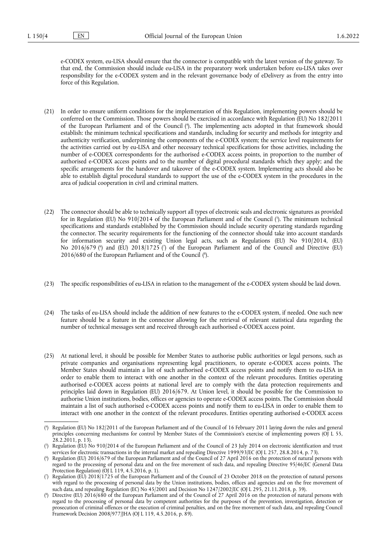e-CODEX system, eu-LISA should ensure that the connector is compatible with the latest version of the gateway. To that end, the Commission should include eu-LISA in the preparatory work undertaken before eu-LISA takes over responsibility for the e-CODEX system and in the relevant governance body of eDelivery as from the entry into force of this Regulation.

- <span id="page-3-5"></span>(21) In order to ensure uniform conditions for the implementation of this Regulation, implementing powers should be conferred on the Commission. Those powers should be exercised in accordance with Regulation (EU) No 182/2011 of the European Parliament and of the Council ( 4 [\).](#page-3-0) The implementing acts adopted in that framework should establish: the minimum technical specifications and standards, including for security and methods for integrity and authenticity verification, underpinning the components of the e-CODEX system; the service level requirements for the activities carried out by eu-LISA and other necessary technical specifications for those activities, including the number of e-CODEX correspondents for the authorised e-CODEX access points, in proportion to the number of authorised e-CODEX access points and to the number of digital procedural standards which they apply; and the specific arrangements for the handover and takeover of the e-CODEX system. Implementing acts should also be able to establish digital procedural standards to support the use of the e-CODEX system in the procedures in the area of judicial cooperation in civil and criminal matters.
- <span id="page-3-7"></span><span id="page-3-6"></span>(22) The connector should be able to technically support all types of electronic seals and electronic signatures as provided for in Regulation (EU) No 910/2014 of the European Parliament and of the Council [\(](#page-3-1) 5 ). The minimum technical specifications and standards established by the Commission should include security operating standards regarding the connector. The security requirements for the functioning of the connector should take into account standards for information security and existing Union legal acts, such as Regulations (EU) No 910/2014, (EU) No 2016/679 [\(](#page-3-3)°) and (EU) 2018/1725 (') of the European Parliament and of the Council and Directive (EU) 2016/680 of the European Parliament and of the Council [\(](#page-3-4)8).
- <span id="page-3-8"></span>(23) The specific responsibilities of eu-LISA in relation to the management of the e-CODEX system should be laid down.
- (24) The tasks of eu-LISA should include the addition of new features to the e-CODEX system, if needed. One such new feature should be a feature in the connector allowing for the retrieval of relevant statistical data regarding the number of technical messages sent and received through each authorised e-CODEX access point.
- (25) At national level, it should be possible for Member States to authorise public authorities or legal persons, such as private companies and organisations representing legal practitioners, to operate e-CODEX access points. The Member States should maintain a list of such authorised e-CODEX access points and notify them to eu-LISA in order to enable them to interact with one another in the context of the relevant procedures. Entities operating authorised e-CODEX access points at national level are to comply with the data protection requirements and principles laid down in Regulation (EU) 2016/679. At Union level, it should be possible for the Commission to authorise Union institutions, bodies, offices or agencies to operate e-CODEX access points. The Commission should maintain a list of such authorised e-CODEX access points and notify them to eu-LISA in order to enable them to interact with one another in the context of the relevant procedures. Entities operating authorised e-CODEX access

<span id="page-3-0"></span>[<sup>\(</sup>](#page-3-5) 4 ) Regulation (EU) No 182/2011 of the European Parliament and of the Council of 16 February 2011 laying down the rules and general principles concerning mechanisms for control by Member States of the Commission's exercise of implementing powers (OJ L 55, 28.2.2011, p. 13).

<span id="page-3-1"></span>[<sup>\(</sup>](#page-3-6) 5 ) Regulation (EU) No 910/2014 of the European Parliament and of the Council of 23 July 2014 on electronic identification and trust services for electronic transactions in the internal market and repealing Directive 1999/93/EC (OJ L 257, 28.8.2014, p. 73).

<span id="page-3-2"></span>[<sup>\(</sup>](#page-3-7) 6 ) Regulation (EU) 2016/679 of the European Parliament and of the Council of 27 April 2016 on the protection of natural persons with regard to the processing of personal data and on the free movement of such data, and repealing Directive 95/46/EC (General Data Protection Regulation) (OJ L 119, 4.5.2016, p. 1).

<span id="page-3-3"></span>[<sup>\(</sup>](#page-3-7) 7 ) Regulation (EU) 2018/1725 of the European Parliament and of the Council of 23 October 2018 on the protection of natural persons with regard to the processing of personal data by the Union institutions, bodies, offices and agencies and on the free movement of such data, and repealing Regulation (EC) No 45/2001 and Decision No 1247/2002/EC (OJ L 295, 21.11.2018, p. 39).

<span id="page-3-4"></span>[<sup>\(</sup>](#page-3-8) 8 ) Directive (EU) 2016/680 of the European Parliament and of the Council of 27 April 2016 on the protection of natural persons with regard to the processing of personal data by competent authorities for the purposes of the prevention, investigation, detection or prosecution of criminal offences or the execution of criminal penalties, and on the free movement of such data, and repealing Council Framework Decision 2008/977/JHA (OJ L 119, 4.5.2016, p. 89).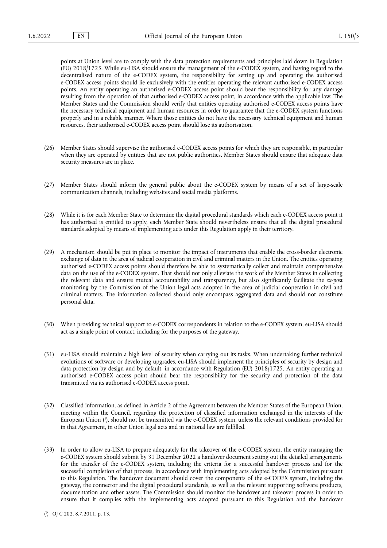points at Union level are to comply with the data protection requirements and principles laid down in Regulation (EU) 2018/1725. While eu-LISA should ensure the management of the e-CODEX system, and having regard to the decentralised nature of the e-CODEX system, the responsibility for setting up and operating the authorised e-CODEX access points should lie exclusively with the entities operating the relevant authorised e-CODEX access points. An entity operating an authorised e-CODEX access point should bear the responsibility for any damage resulting from the operation of that authorised e-CODEX access point, in accordance with the applicable law. The Member States and the Commission should verify that entities operating authorised e-CODEX access points have the necessary technical equipment and human resources in order to guarantee that the e-CODEX system functions properly and in a reliable manner. Where those entities do not have the necessary technical equipment and human resources, their authorised e-CODEX access point should lose its authorisation.

- (26) Member States should supervise the authorised e-CODEX access points for which they are responsible, in particular when they are operated by entities that are not public authorities. Member States should ensure that adequate data security measures are in place.
- (27) Member States should inform the general public about the e-CODEX system by means of a set of large-scale communication channels, including websites and social media platforms.
- (28) While it is for each Member State to determine the digital procedural standards which each e-CODEX access point it has authorised is entitled to apply, each Member State should nevertheless ensure that all the digital procedural standards adopted by means of implementing acts under this Regulation apply in their territory.
- (29) A mechanism should be put in place to monitor the impact of instruments that enable the cross-border electronic exchange of data in the area of judicial cooperation in civil and criminal matters in the Union. The entities operating authorised e-CODEX access points should therefore be able to systematically collect and maintain comprehensive data on the use of the e-CODEX system. That should not only alleviate the work of the Member States in collecting the relevant data and ensure mutual accountability and transparency, but also significantly facilitate the *ex-post*  monitoring by the Commission of the Union legal acts adopted in the area of judicial cooperation in civil and criminal matters. The information collected should only encompass aggregated data and should not constitute personal data.
- (30) When providing technical support to e-CODEX correspondents in relation to the e-CODEX system, eu-LISA should act as a single point of contact, including for the purposes of the gateway.
- (31) eu-LISA should maintain a high level of security when carrying out its tasks. When undertaking further technical evolutions of software or developing upgrades, eu-LISA should implement the principles of security by design and data protection by design and by default, in accordance with Regulation (EU) 2018/1725. An entity operating an authorised e-CODEX access point should bear the responsibility for the security and protection of the data transmitted via its authorised e-CODEX access point.
- <span id="page-4-1"></span>(32) Classified information, as defined in Article 2 of the Agreement between the Member States of the European Union, meeting within the Council, regarding the protection of classified information exchanged in the interests of the European Union ( 9 [\),](#page-4-0) should not be transmitted via the e-CODEX system, unless the relevant conditions provided for in that Agreement, in other Union legal acts and in national law are fulfilled.
- (33) In order to allow eu-LISA to prepare adequately for the takeover of the e-CODEX system, the entity managing the e-CODEX system should submit by 31 December 2022 a handover document setting out the detailed arrangements for the transfer of the e-CODEX system, including the criteria for a successful handover process and for the successful completion of that process, in accordance with implementing acts adopted by the Commission pursuant to this Regulation. The handover document should cover the components of the e-CODEX system, including the gateway, the connector and the digital procedural standards, as well as the relevant supporting software products, documentation and other assets. The Commission should monitor the handover and takeover process in order to ensure that it complies with the implementing acts adopted pursuant to this Regulation and the handover

<span id="page-4-0"></span>[<sup>\(</sup>](#page-4-1) 9 ) OJ C 202, 8.7.2011, p. 13.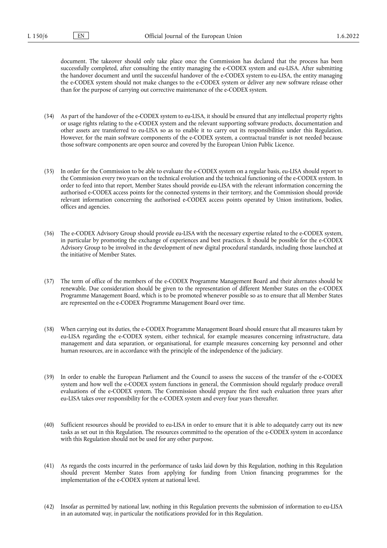document. The takeover should only take place once the Commission has declared that the process has been successfully completed, after consulting the entity managing the e-CODEX system and eu-LISA. After submitting the handover document and until the successful handover of the e-CODEX system to eu-LISA, the entity managing the e-CODEX system should not make changes to the e-CODEX system or deliver any new software release other than for the purpose of carrying out corrective maintenance of the e-CODEX system.

- (34) As part of the handover of the e-CODEX system to eu-LISA, it should be ensured that any intellectual property rights or usage rights relating to the e-CODEX system and the relevant supporting software products, documentation and other assets are transferred to eu-LISA so as to enable it to carry out its responsibilities under this Regulation. However, for the main software components of the e-CODEX system, a contractual transfer is not needed because those software components are open source and covered by the European Union Public Licence.
- (35) In order for the Commission to be able to evaluate the e-CODEX system on a regular basis, eu-LISA should report to the Commission every two years on the technical evolution and the technical functioning of the e-CODEX system. In order to feed into that report, Member States should provide eu-LISA with the relevant information concerning the authorised e-CODEX access points for the connected systems in their territory, and the Commission should provide relevant information concerning the authorised e-CODEX access points operated by Union institutions, bodies, offices and agencies.
- (36) The e-CODEX Advisory Group should provide eu-LISA with the necessary expertise related to the e-CODEX system, in particular by promoting the exchange of experiences and best practices. It should be possible for the e-CODEX Advisory Group to be involved in the development of new digital procedural standards, including those launched at the initiative of Member States.
- (37) The term of office of the members of the e-CODEX Programme Management Board and their alternates should be renewable. Due consideration should be given to the representation of different Member States on the e-CODEX Programme Management Board, which is to be promoted whenever possible so as to ensure that all Member States are represented on the e-CODEX Programme Management Board over time.
- (38) When carrying out its duties, the e-CODEX Programme Management Board should ensure that all measures taken by eu-LISA regarding the e-CODEX system, either technical, for example measures concerning infrastructure, data management and data separation, or organisational, for example measures concerning key personnel and other human resources, are in accordance with the principle of the independence of the judiciary.
- (39) In order to enable the European Parliament and the Council to assess the success of the transfer of the e-CODEX system and how well the e-CODEX system functions in general, the Commission should regularly produce overall evaluations of the e-CODEX system. The Commission should prepare the first such evaluation three years after eu-LISA takes over responsibility for the e-CODEX system and every four years thereafter.
- (40) Sufficient resources should be provided to eu-LISA in order to ensure that it is able to adequately carry out its new tasks as set out in this Regulation. The resources committed to the operation of the e-CODEX system in accordance with this Regulation should not be used for any other purpose.
- (41) As regards the costs incurred in the performance of tasks laid down by this Regulation, nothing in this Regulation should prevent Member States from applying for funding from Union financing programmes for the implementation of the e-CODEX system at national level.
- (42) Insofar as permitted by national law, nothing in this Regulation prevents the submission of information to eu-LISA in an automated way, in particular the notifications provided for in this Regulation.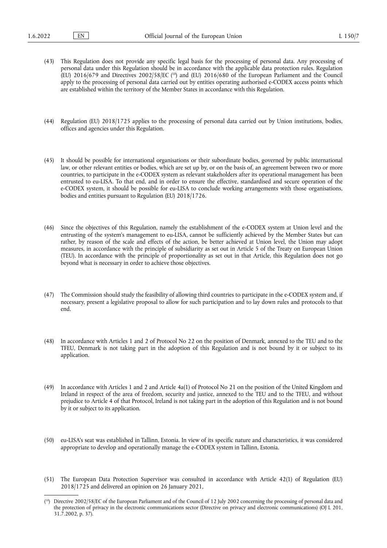- <span id="page-6-1"></span>(43) This Regulation does not provide any specific legal basis for the processing of personal data. Any processing of personal data under this Regulation should be in accordance with the applicable data protection rules. Regulation (EU) 2016/679 and Directives 2002/58/EC (<sup>10</sup>) and (EU) 2016/680 of the European Parliament and the Council apply to the processing of personal data carried out by entities operating authorised e-CODEX access points which are established within the territory of the Member States in accordance with this Regulation.
- (44) Regulation (EU) 2018/1725 applies to the processing of personal data carried out by Union institutions, bodies, offices and agencies under this Regulation.
- (45) It should be possible for international organisations or their subordinate bodies, governed by public international law, or other relevant entities or bodies, which are set up by, or on the basis of, an agreement between two or more countries, to participate in the e-CODEX system as relevant stakeholders after its operational management has been entrusted to eu-LISA. To that end, and in order to ensure the effective, standardised and secure operation of the e-CODEX system, it should be possible for eu-LISA to conclude working arrangements with those organisations, bodies and entities pursuant to Regulation (EU) 2018/1726.
- (46) Since the objectives of this Regulation, namely the establishment of the e-CODEX system at Union level and the entrusting of the system's management to eu-LISA, cannot be sufficiently achieved by the Member States but can rather, by reason of the scale and effects of the action, be better achieved at Union level, the Union may adopt measures, in accordance with the principle of subsidiarity as set out in Article 5 of the Treaty on European Union (TEU). In accordance with the principle of proportionality as set out in that Article, this Regulation does not go beyond what is necessary in order to achieve those objectives.
- (47) The Commission should study the feasibility of allowing third countries to participate in the e-CODEX system and, if necessary, present a legislative proposal to allow for such participation and to lay down rules and protocols to that end.
- (48) In accordance with Articles 1 and 2 of Protocol No 22 on the position of Denmark, annexed to the TEU and to the TFEU, Denmark is not taking part in the adoption of this Regulation and is not bound by it or subject to its application.
- (49) In accordance with Articles 1 and 2 and Article 4a(1) of Protocol No 21 on the position of the United Kingdom and Ireland in respect of the area of freedom, security and justice, annexed to the TEU and to the TFEU, and without prejudice to Article 4 of that Protocol, Ireland is not taking part in the adoption of this Regulation and is not bound by it or subject to its application.
- (50) eu-LISA's seat was established in Tallinn, Estonia. In view of its specific nature and characteristics, it was considered appropriate to develop and operationally manage the e-CODEX system in Tallinn, Estonia.
- (51) The European Data Protection Supervisor was consulted in accordance with Article 42(1) of Regulation (EU) 2018/1725 and delivered an opinion on 26 January 2021,

<span id="page-6-0"></span><sup>(</sup> [10\)](#page-6-1) Directive 2002/58/EC of the European Parliament and of the Council of 12 July 2002 concerning the processing of personal data and the protection of privacy in the electronic communications sector (Directive on privacy and electronic communications) (OJ L 201, 31.7.2002, p. 37).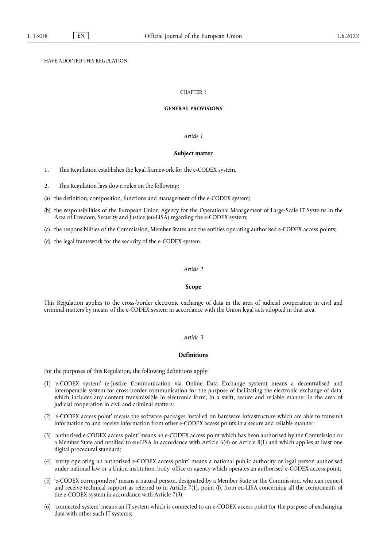# HAVE ADOPTED THIS REGULATION:

# CHAPTER 1

#### **GENERAL PROVISIONS**

## *Article 1*

#### **Subject matter**

- 1. This Regulation establishes the legal framework for the e-CODEX system.
- 2. This Regulation lays down rules on the following:
- (a) the definition, composition, functions and management of the e-CODEX system;
- (b) the responsibilities of the European Union Agency for the Operational Management of Large-Scale IT Systems in the Area of Freedom, Security and Justice (eu-LISA) regarding the e-CODEX system;
- (c) the responsibilities of the Commission, Member States and the entities operating authorised e-CODEX access points;
- (d) the legal framework for the security of the e-CODEX system.

# *Article 2*

## **Scope**

This Regulation applies to the cross-border electronic exchange of data in the area of judicial cooperation in civil and criminal matters by means of the e-CODEX system in accordance with the Union legal acts adopted in that area.

#### *Article 3*

# **Definitions**

For the purposes of this Regulation, the following definitions apply:

- (1) 'e-CODEX system' (e-Justice Communication via Online Data Exchange system) means a decentralised and interoperable system for cross-border communication for the purpose of facilitating the electronic exchange of data, which includes any content transmissible in electronic form, in a swift, secure and reliable manner in the area of judicial cooperation in civil and criminal matters;
- (2) 'e-CODEX access point' means the software packages installed on hardware infrastructure which are able to transmit information to and receive information from other e-CODEX access points in a secure and reliable manner;
- (3) 'authorised e-CODEX access point' means an e-CODEX access point which has been authorised by the Commission or a Member State and notified to eu-LISA in accordance with Article 6(4) or Article 8(1) and which applies at least one digital procedural standard;
- (4) 'entity operating an authorised e-CODEX access point' means a national public authority or legal person authorised under national law or a Union institution, body, office or agency which operates an authorised e-CODEX access point;
- (5) 'e-CODEX correspondent' means a natural person, designated by a Member State or the Commission, who can request and receive technical support as referred to in Article  $\bar{7}(1)$ , point (f), from eu-LISA concerning all the components of the e-CODEX system in accordance with Article 7(3);
- (6) 'connected system' means an IT system which is connected to an e-CODEX access point for the purpose of exchanging data with other such IT systems;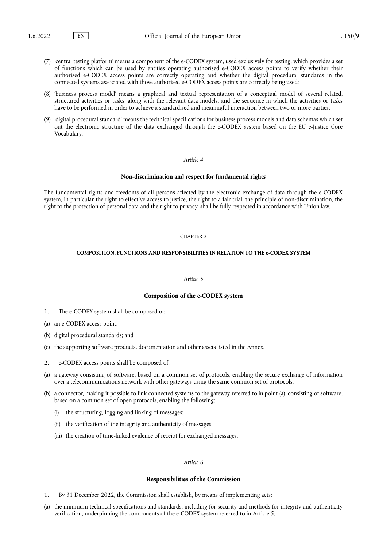- (7) 'central testing platform' means a component of the e-CODEX system, used exclusively for testing, which provides a set of functions which can be used by entities operating authorised e-CODEX access points to verify whether their authorised e-CODEX access points are correctly operating and whether the digital procedural standards in the connected systems associated with those authorised e-CODEX access points are correctly being used;
- (8) 'business process model' means a graphical and textual representation of a conceptual model of several related, structured activities or tasks, along with the relevant data models, and the sequence in which the activities or tasks have to be performed in order to achieve a standardised and meaningful interaction between two or more parties;
- (9) 'digital procedural standard' means the technical specifications for business process models and data schemas which set out the electronic structure of the data exchanged through the e-CODEX system based on the EU e-Justice Core Vocabulary.

#### **Non-discrimination and respect for fundamental rights**

The fundamental rights and freedoms of all persons affected by the electronic exchange of data through the e-CODEX system, in particular the right to effective access to justice, the right to a fair trial, the principle of non-discrimination, the right to the protection of personal data and the right to privacy, shall be fully respected in accordance with Union law.

## CHAPTER 2

#### **COMPOSITION, FUNCTIONS AND RESPONSIBILITIES IN RELATION TO THE e-CODEX SYSTEM**

#### *Article 5*

#### **Composition of the e-CODEX system**

- 1. The e-CODEX system shall be composed of:
- (a) an e-CODEX access point;
- (b) digital procedural standards; and
- (c) the supporting software products, documentation and other assets listed in the Annex.
- 2. e-CODEX access points shall be composed of:
- (a) a gateway consisting of software, based on a common set of protocols, enabling the secure exchange of information over a telecommunications network with other gateways using the same common set of protocols;
- (b) a connector, making it possible to link connected systems to the gateway referred to in point (a), consisting of software, based on a common set of open protocols, enabling the following:
	- (i) the structuring, logging and linking of messages;
	- (ii) the verification of the integrity and authenticity of messages;
	- (iii) the creation of time-linked evidence of receipt for exchanged messages.

#### *Article 6*

#### **Responsibilities of the Commission**

- 1. By 31 December 2022, the Commission shall establish, by means of implementing acts:
- (a) the minimum technical specifications and standards, including for security and methods for integrity and authenticity verification, underpinning the components of the e-CODEX system referred to in Article 5;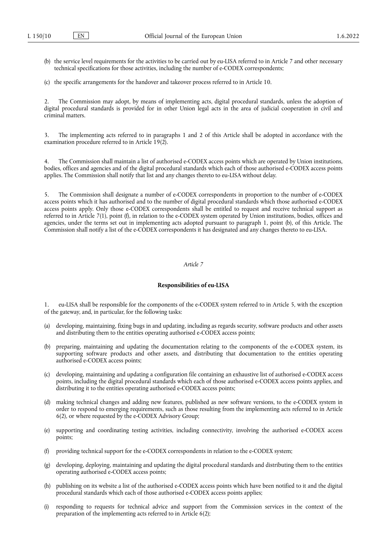- (b) the service level requirements for the activities to be carried out by eu-LISA referred to in Article 7 and other necessary technical specifications for those activities, including the number of e-CODEX correspondents;
- (c) the specific arrangements for the handover and takeover process referred to in Article 10.

2. The Commission may adopt, by means of implementing acts, digital procedural standards, unless the adoption of digital procedural standards is provided for in other Union legal acts in the area of judicial cooperation in civil and criminal matters.

3. The implementing acts referred to in paragraphs 1 and 2 of this Article shall be adopted in accordance with the examination procedure referred to in Article 19(2).

4. The Commission shall maintain a list of authorised e-CODEX access points which are operated by Union institutions, bodies, offices and agencies and of the digital procedural standards which each of those authorised e-CODEX access points applies. The Commission shall notify that list and any changes thereto to eu-LISA without delay.

5. The Commission shall designate a number of e-CODEX correspondents in proportion to the number of e-CODEX access points which it has authorised and to the number of digital procedural standards which those authorised e-CODEX access points apply. Only those e-CODEX correspondents shall be entitled to request and receive technical support as referred to in Article 7(1), point (f), in relation to the e-CODEX system operated by Union institutions, bodies, offices and agencies, under the terms set out in implementing acts adopted pursuant to paragraph 1, point (b), of this Article. The Commission shall notify a list of the e-CODEX correspondents it has designated and any changes thereto to eu-LISA.

#### *Article 7*

## **Responsibilities of eu-LISA**

1. eu-LISA shall be responsible for the components of the e-CODEX system referred to in Article 5, with the exception of the gateway, and, in particular, for the following tasks:

- (a) developing, maintaining, fixing bugs in and updating, including as regards security, software products and other assets and distributing them to the entities operating authorised e-CODEX access points;
- (b) preparing, maintaining and updating the documentation relating to the components of the e-CODEX system, its supporting software products and other assets, and distributing that documentation to the entities operating authorised e-CODEX access points;
- (c) developing, maintaining and updating a configuration file containing an exhaustive list of authorised e-CODEX access points, including the digital procedural standards which each of those authorised e-CODEX access points applies, and distributing it to the entities operating authorised e-CODEX access points;
- (d) making technical changes and adding new features, published as new software versions, to the e-CODEX system in order to respond to emerging requirements, such as those resulting from the implementing acts referred to in Article 6(2), or where requested by the e-CODEX Advisory Group;
- (e) supporting and coordinating testing activities, including connectivity, involving the authorised e-CODEX access points;
- (f) providing technical support for the e-CODEX correspondents in relation to the e-CODEX system;
- (g) developing, deploying, maintaining and updating the digital procedural standards and distributing them to the entities operating authorised e-CODEX access points;
- (h) publishing on its website a list of the authorised e-CODEX access points which have been notified to it and the digital procedural standards which each of those authorised e-CODEX access points applies;
- (i) responding to requests for technical advice and support from the Commission services in the context of the preparation of the implementing acts referred to in Article 6(2);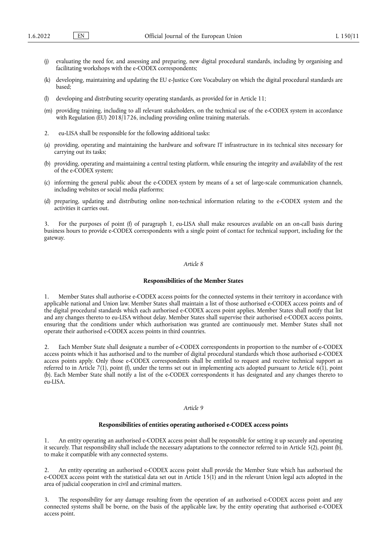- (j) evaluating the need for, and assessing and preparing, new digital procedural standards, including by organising and facilitating workshops with the e-CODEX correspondents;
- (k) developing, maintaining and updating the EU e-Justice Core Vocabulary on which the digital procedural standards are based;
- (l) developing and distributing security operating standards, as provided for in Article 11;
- (m) providing training, including to all relevant stakeholders, on the technical use of the e-CODEX system in accordance with Regulation (EU)  $2018/1726$ , including providing online training materials.
- 2. eu-LISA shall be responsible for the following additional tasks:
- (a) providing, operating and maintaining the hardware and software IT infrastructure in its technical sites necessary for carrying out its tasks;
- (b) providing, operating and maintaining a central testing platform, while ensuring the integrity and availability of the rest of the e-CODEX system;
- (c) informing the general public about the e-CODEX system by means of a set of large-scale communication channels, including websites or social media platforms;
- (d) preparing, updating and distributing online non-technical information relating to the e-CODEX system and the activities it carries out.

3. For the purposes of point (f) of paragraph 1, eu-LISA shall make resources available on an on-call basis during business hours to provide e-CODEX correspondents with a single point of contact for technical support, including for the gateway.

#### *Article 8*

## **Responsibilities of the Member States**

1. Member States shall authorise e-CODEX access points for the connected systems in their territory in accordance with applicable national and Union law. Member States shall maintain a list of those authorised e-CODEX access points and of the digital procedural standards which each authorised e-CODEX access point applies. Member States shall notify that list and any changes thereto to eu-LISA without delay. Member States shall supervise their authorised e-CODEX access points, ensuring that the conditions under which authorisation was granted are continuously met. Member States shall not operate their authorised e-CODEX access points in third countries.

2. Each Member State shall designate a number of e-CODEX correspondents in proportion to the number of e-CODEX access points which it has authorised and to the number of digital procedural standards which those authorised e-CODEX access points apply. Only those e-CODEX correspondents shall be entitled to request and receive technical support as referred to in Article 7(1), point (f), under the terms set out in implementing acts adopted pursuant to Article  $6(1)$ , point (b). Each Member State shall notify a list of the e-CODEX correspondents it has designated and any changes thereto to eu-LISA.

#### *Article 9*

## **Responsibilities of entities operating authorised e-CODEX access points**

1. An entity operating an authorised e-CODEX access point shall be responsible for setting it up securely and operating it securely. That responsibility shall include the necessary adaptations to the connector referred to in Article 5(2), point (b), to make it compatible with any connected systems.

2. An entity operating an authorised e-CODEX access point shall provide the Member State which has authorised the e-CODEX access point with the statistical data set out in Article 15(1) and in the relevant Union legal acts adopted in the area of judicial cooperation in civil and criminal matters.

3. The responsibility for any damage resulting from the operation of an authorised e-CODEX access point and any connected systems shall be borne, on the basis of the applicable law, by the entity operating that authorised e-CODEX access point.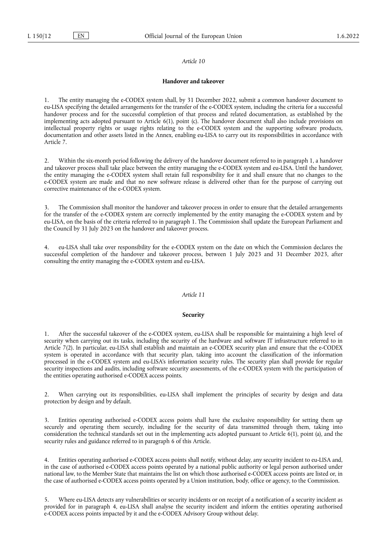## **Handover and takeover**

1. The entity managing the e-CODEX system shall, by 31 December 2022, submit a common handover document to eu-LISA specifying the detailed arrangements for the transfer of the e-CODEX system, including the criteria for a successful handover process and for the successful completion of that process and related documentation, as established by the implementing acts adopted pursuant to Article 6(1), point (c). The handover document shall also include provisions on intellectual property rights or usage rights relating to the e-CODEX system and the supporting software products, documentation and other assets listed in the Annex, enabling eu-LISA to carry out its responsibilities in accordance with Article 7.

2. Within the six-month period following the delivery of the handover document referred to in paragraph 1, a handover and takeover process shall take place between the entity managing the e-CODEX system and eu-LISA. Until the handover, the entity managing the e-CODEX system shall retain full responsibility for it and shall ensure that no changes to the e-CODEX system are made and that no new software release is delivered other than for the purpose of carrying out corrective maintenance of the e-CODEX system.

The Commission shall monitor the handover and takeover process in order to ensure that the detailed arrangements for the transfer of the e-CODEX system are correctly implemented by the entity managing the e-CODEX system and by eu-LISA, on the basis of the criteria referred to in paragraph 1. The Commission shall update the European Parliament and the Council by 31 July 2023 on the handover and takeover process.

eu-LISA shall take over responsibility for the e-CODEX system on the date on which the Commission declares the successful completion of the handover and takeover process, between 1 July 2023 and 31 December 2023, after consulting the entity managing the e-CODEX system and eu-LISA.

## *Article 11*

#### **Security**

1. After the successful takeover of the e-CODEX system, eu-LISA shall be responsible for maintaining a high level of security when carrying out its tasks, including the security of the hardware and software IT infrastructure referred to in Article 7(2). In particular, eu-LISA shall establish and maintain an e-CODEX security plan and ensure that the e-CODEX system is operated in accordance with that security plan, taking into account the classification of the information processed in the e-CODEX system and eu-LISA's information security rules. The security plan shall provide for regular security inspections and audits, including software security assessments, of the e-CODEX system with the participation of the entities operating authorised e-CODEX access points.

2. When carrying out its responsibilities, eu-LISA shall implement the principles of security by design and data protection by design and by default.

3. Entities operating authorised e-CODEX access points shall have the exclusive responsibility for setting them up securely and operating them securely, including for the security of data transmitted through them, taking into consideration the technical standards set out in the implementing acts adopted pursuant to Article 6(1), point (a), and the security rules and guidance referred to in paragraph 6 of this Article.

4. Entities operating authorised e-CODEX access points shall notify, without delay, any security incident to eu-LISA and, in the case of authorised e-CODEX access points operated by a national public authority or legal person authorised under national law, to the Member State that maintains the list on which those authorised e-CODEX access points are listed or, in the case of authorised e-CODEX access points operated by a Union institution, body, office or agency, to the Commission.

5. Where eu-LISA detects any vulnerabilities or security incidents or on receipt of a notification of a security incident as provided for in paragraph 4, eu-LISA shall analyse the security incident and inform the entities operating authorised e-CODEX access points impacted by it and the e-CODEX Advisory Group without delay.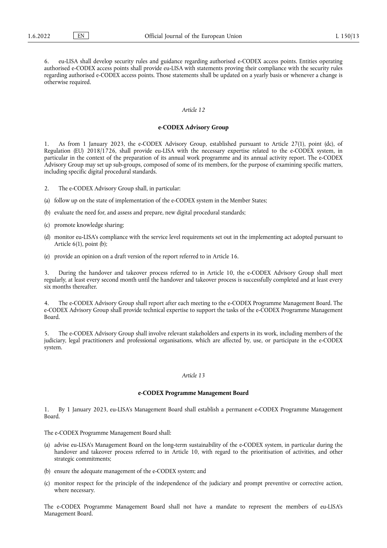6. eu-LISA shall develop security rules and guidance regarding authorised e-CODEX access points. Entities operating authorised e-CODEX access points shall provide eu-LISA with statements proving their compliance with the security rules regarding authorised e-CODEX access points. Those statements shall be updated on a yearly basis or whenever a change is otherwise required.

# *Article 12*

#### **e-CODEX Advisory Group**

1. As from 1 January 2023, the e-CODEX Advisory Group, established pursuant to Article 27(1), point (dc), of Regulation (EU) 2018/1726, shall provide eu-LISA with the necessary expertise related to the e-CODEX system, in particular in the context of the preparation of its annual work programme and its annual activity report. The e-CODEX Advisory Group may set up sub-groups, composed of some of its members, for the purpose of examining specific matters, including specific digital procedural standards.

- 2. The e-CODEX Advisory Group shall, in particular:
- (a) follow up on the state of implementation of the e-CODEX system in the Member States;
- (b) evaluate the need for, and assess and prepare, new digital procedural standards;
- (c) promote knowledge sharing;
- (d) monitor eu-LISA's compliance with the service level requirements set out in the implementing act adopted pursuant to Article 6(1), point (b);
- (e) provide an opinion on a draft version of the report referred to in Article 16.

3. During the handover and takeover process referred to in Article 10, the e-CODEX Advisory Group shall meet regularly, at least every second month until the handover and takeover process is successfully completed and at least every six months thereafter.

The e-CODEX Advisory Group shall report after each meeting to the e-CODEX Programme Management Board. The e-CODEX Advisory Group shall provide technical expertise to support the tasks of the e-CODEX Programme Management Board.

5. The e-CODEX Advisory Group shall involve relevant stakeholders and experts in its work, including members of the judiciary, legal practitioners and professional organisations, which are affected by, use, or participate in the e-CODEX system.

#### *Article 13*

#### **e-CODEX Programme Management Board**

1. By 1 January 2023, eu-LISA's Management Board shall establish a permanent e-CODEX Programme Management Board.

The e-CODEX Programme Management Board shall:

- (a) advise eu-LISA's Management Board on the long-term sustainability of the e-CODEX system, in particular during the handover and takeover process referred to in Article 10, with regard to the prioritisation of activities, and other strategic commitments;
- (b) ensure the adequate management of the e-CODEX system; and
- (c) monitor respect for the principle of the independence of the judiciary and prompt preventive or corrective action, where necessary.

The e-CODEX Programme Management Board shall not have a mandate to represent the members of eu-LISA's Management Board.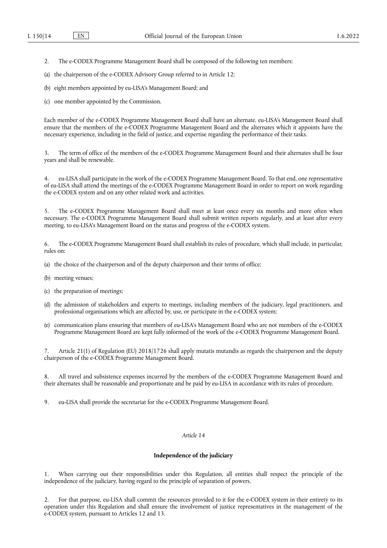2. The e-CODEX Programme Management Board shall be composed of the following ten members:

(a) the chairperson of the e-CODEX Advisory Group referred to in Article 12;

(b) eight members appointed by eu-LISA's Management Board; and

(c) one member appointed by the Commission.

Each member of the e-CODEX Programme Management Board shall have an alternate. eu-LISA's Management Board shall ensure that the members of the e-CODEX Programme Management Board and the alternates which it appoints have the necessary experience, including in the field of justice, and expertise regarding the performance of their tasks.

3. The term of office of the members of the e-CODEX Programme Management Board and their alternates shall be four years and shall be renewable.

4. eu-LISA shall participate in the work of the e-CODEX Programme Management Board. To that end, one representative of eu-LISA shall attend the meetings of the e-CODEX Programme Management Board in order to report on work regarding the e-CODEX system and on any other related work and activities.

5. The e-CODEX Programme Management Board shall meet at least once every six months and more often when necessary. The e-CODEX Programme Management Board shall submit written reports regularly, and at least after every meeting, to eu-LISA's Management Board on the status and progress of the e-CODEX system.

6. The e-CODEX Programme Management Board shall establish its rules of procedure, which shall include, in particular, rules on:

- (a) the choice of the chairperson and of the deputy chairperson and their terms of office;
- (b) meeting venues;
- (c) the preparation of meetings;
- (d) the admission of stakeholders and experts to meetings, including members of the judiciary, legal practitioners, and professional organisations which are affected by, use, or participate in the e-CODEX system;
- (e) communication plans ensuring that members of eu-LISA's Management Board who are not members of the e-CODEX Programme Management Board are kept fully informed of the work of the e-CODEX Programme Management Board.

Article 21(1) of Regulation (EU) 2018/1726 shall apply mutatis mutandis as regards the chairperson and the deputy chairperson of the e-CODEX Programme Management Board.

8. All travel and subsistence expenses incurred by the members of the e-CODEX Programme Management Board and their alternates shall be reasonable and proportionate and be paid by eu-LISA in accordance with its rules of procedure.

9. eu-LISA shall provide the secretariat for the e-CODEX Programme Management Board.

# *Article 14*

## **Independence of the judiciary**

1. When carrying out their responsibilities under this Regulation, all entities shall respect the principle of the independence of the judiciary, having regard to the principle of separation of powers.

2. For that purpose, eu-LISA shall commit the resources provided to it for the e-CODEX system in their entirety to its operation under this Regulation and shall ensure the involvement of justice representatives in the management of the e-CODEX system, pursuant to Articles 12 and 13.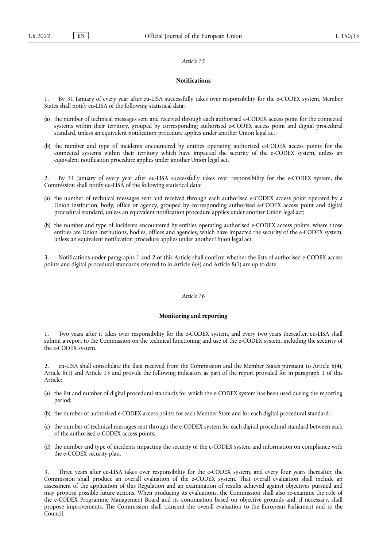#### **Notifications**

1. By 31 January of every year after eu-LISA successfully takes over responsibility for the e-CODEX system, Member States shall notify eu-LISA of the following statistical data:

- (a) the number of technical messages sent and received through each authorised e-CODEX access point for the connected systems within their territory, grouped by corresponding authorised e-CODEX access point and digital procedural standard, unless an equivalent notification procedure applies under another Union legal act;
- (b) the number and type of incidents encountered by entities operating authorised e-CODEX access points for the connected systems within their territory which have impacted the security of the e-CODEX system, unless an equivalent notification procedure applies under another Union legal act.

2. By 31 January of every year after eu-LISA successfully takes over responsibility for the e-CODEX system, the Commission shall notify eu-LISA of the following statistical data:

- (a) the number of technical messages sent and received through each authorised e-CODEX access point operated by a Union institution, body, office or agency, grouped by corresponding authorised e-CODEX access point and digital procedural standard, unless an equivalent notification procedure applies under another Union legal act;
- (b) the number and type of incidents encountered by entities operating authorised e-CODEX access points, where those entities are Union institutions, bodies, offices and agencies, which have impacted the security of the e-CODEX system, unless an equivalent notification procedure applies under another Union legal act.

3. Notifications under paragraphs 1 and 2 of this Article shall confirm whether the lists of authorised e-CODEX access points and digital procedural standards referred to in Article 6(4) and Article 8(1) are up to date.

# *Article 16*

# **Monitoring and reporting**

1. Two years after it takes over responsibility for the e-CODEX system, and every two years thereafter, eu-LISA shall submit a report to the Commission on the technical functioning and use of the e-CODEX system, including the security of the e-CODEX system.

2. eu-LISA shall consolidate the data received from the Commission and the Member States pursuant to Article 6(4), Article 8(1) and Article 15 and provide the following indicators as part of the report provided for in paragraph 1 of this Article:

- (a) the list and number of digital procedural standards for which the e-CODEX system has been used during the reporting period;
- (b) the number of authorised e-CODEX access points for each Member State and for each digital procedural standard;
- (c) the number of technical messages sent through the e-CODEX system for each digital procedural standard between each of the authorised e-CODEX access points;
- (d) the number and type of incidents impacting the security of the e-CODEX system and information on compliance with the e-CODEX security plan.

3. Three years after eu-LISA takes over responsibility for the e-CODEX system, and every four years thereafter, the Commission shall produce an overall evaluation of the e-CODEX system. That overall evaluation shall include an assessment of the application of this Regulation and an examination of results achieved against objectives pursued and may propose possible future actions. When producing its evaluations, the Commission shall also re-examine the role of the e-CODEX Programme Management Board and its continuation based on objective grounds and, if necessary, shall propose improvements. The Commission shall transmit the overall evaluation to the European Parliament and to the Council.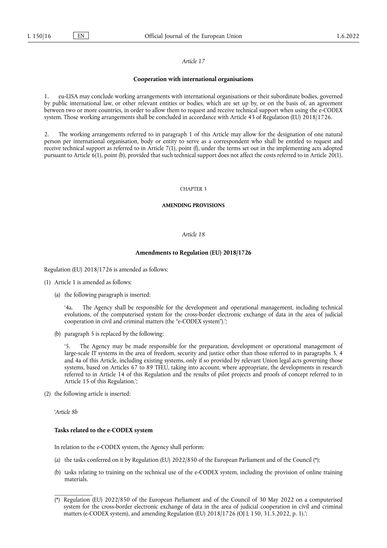#### **Cooperation with international organisations**

1. eu-LISA may conclude working arrangements with international organisations or their subordinate bodies, governed by public international law, or other relevant entities or bodies, which are set up by, or on the basis of, an agreement between two or more countries, in order to allow them to request and receive technical support when using the e-CODEX system. Those working arrangements shall be concluded in accordance with Article 43 of Regulation (EU) 2018/1726.

2. The working arrangements referred to in paragraph 1 of this Article may allow for the designation of one natural person per international organisation, body or entity to serve as a correspondent who shall be entitled to request and receive technical support as referred to in Article 7(1), point (f), under the terms set out in the implementing acts adopted pursuant to Article 6(1), point (b), provided that such technical support does not affect the costs referred to in Article 20(1).

# CHAPTER 3

# **AMENDING PROVISIONS**

#### *Article 18*

# **Amendments to Regulation (EU) 2018/1726**

Regulation (EU) 2018/1726 is amended as follows:

- (1) Article 1 is amended as follows:
	- (a) the following paragraph is inserted:

'4a. The Agency shall be responsible for the development and operational management, including technical evolutions, of the computerised system for the cross-border electronic exchange of data in the area of judicial cooperation in civil and criminal matters (the "e-CODEX system").';

(b) paragraph 5 is replaced by the following:

The Agency may be made responsible for the preparation, development or operational management of large-scale IT systems in the area of freedom, security and justice other than those referred to in paragraphs 3, 4 and 4a of this Article, including existing systems, only if so provided by relevant Union legal acts governing those systems, based on Articles 67 to 89 TFEU, taking into account, where appropriate, the developments in research referred to in Article 14 of this Regulation and the results of pilot projects and proofs of concept referred to in Article 15 of this Regulation.';

(2) the following article is inserted:

'*Article 8b*

\_\_\_\_\_\_\_\_\_\_\_\_\_

# **Tasks related to the e-CODEX system**

In relation to the e-CODEX system, the Agency shall perform:

- (a) the tasks conferred on it by Regulation (EU) 2022/850 of the European Parliament and of the Council [\(\\*\);](#page-15-0)
- (b) tasks relating to training on the technical use of the e-CODEX system, including the provision of online training materials.

<span id="page-15-0"></span><sup>(\*)</sup> Regulation (EU) 2022/850 of the European Parliament and of the Council of 30 May 2022 on a computerised system for the cross-border electronic exchange of data in the area of judicial cooperation in civil and criminal matters (e-CODEX system), and amending Regulation (EU) 2018/1726 (OJ L 150, 31.5.2022, p. 1).';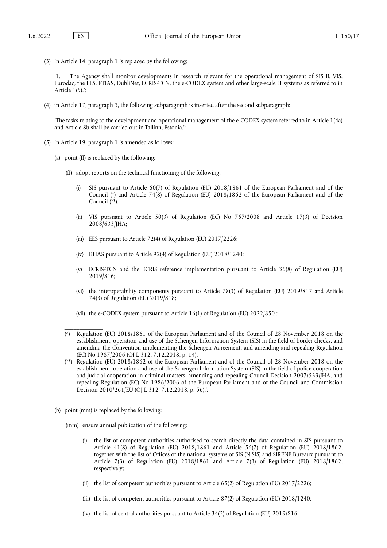(3) in Article 14, paragraph 1 is replaced by the following:

'1. The Agency shall monitor developments in research relevant for the operational management of SIS II, VIS, Eurodac, the EES, ETIAS, DubliNet, ECRIS-TCN, the e-CODEX system and other large-scale IT systems as referred to in Article 1(5).';

(4) in Article 17, paragraph 3, the following subparagraph is inserted after the second subparagraph:

'The tasks relating to the development and operational management of the e-CODEX system referred to in Article 1(4a) and Article 8b shall be carried out in Tallinn, Estonia.';

- (5) in Article 19, paragraph 1 is amended as follows:
	- (a) point (ff) is replaced by the following:
		- '(ff) adopt reports on the technical functioning of the following:
			- SIS pursuant to Article 60(7) of Regulation (EU) 2018/1861 of the European Parliament and of the Council [\(\\*\)](#page-16-0) and Article 74(8) of Regulation (EU) 2018/1862 of the European Parliament and of the Council [\(\\*\\*\);](#page-16-1)
			- (ii) VIS pursuant to Article 50(3) of Regulation (EC) No 767/2008 and Article 17(3) of Decision 2008/633/JHA;
			- (iii) EES pursuant to Article 72(4) of Regulation (EU) 2017/2226;
			- (iv) ETIAS pursuant to Article 92(4) of Regulation (EU) 2018/1240;
			- (v) ECRIS-TCN and the ECRIS reference implementation pursuant to Article 36(8) of Regulation (EU) 2019/816;
			- (vi) the interoperability components pursuant to Article 78(3) of Regulation (EU) 2019/817 and Article 74(3) of Regulation (EU) 2019/818;
			- (vii) the e-CODEX system pursuant to Article 16(1) of Regulation (EU) 2022/850 ;
		- (\*) Regulation (EU) 2018/1861 of the European Parliament and of the Council of 28 November 2018 on the establishment, operation and use of the Schengen Information System (SIS) in the field of border checks, and amending the Convention implementing the Schengen Agreement, and amending and repealing Regulation (EC) No 1987/2006 (OJ L 312, 7.12.2018, p. 14).
		- (\*\*) Regulation (EU) 2018/1862 of the European Parliament and of the Council of 28 November 2018 on the establishment, operation and use of the Schengen Information System (SIS) in the field of police cooperation and judicial cooperation in criminal matters, amending and repealing Council Decision 2007/533/JHA, and repealing Regulation (EC) No 1986/2006 of the European Parliament and of the Council and Commission Decision 2010/261/EU (OJ L 312, 7.12.2018, p. 56).';
	- (b) point (mm) is replaced by the following:

<span id="page-16-1"></span><span id="page-16-0"></span>\_\_\_\_\_\_\_\_\_\_\_\_\_

- '(mm) ensure annual publication of the following:
	- (i) the list of competent authorities authorised to search directly the data contained in SIS pursuant to Article 41(8) of Regulation (EU) 2018/1861 and Article 56(7) of Regulation (EU) 2018/1862, together with the list of Offices of the national systems of SIS (N.SIS) and SIRENE Bureaux pursuant to Article 7(3) of Regulation (EU) 2018/1861 and Article 7(3) of Regulation (EU) 2018/1862, respectively;
	- (ii) the list of competent authorities pursuant to Article 65(2) of Regulation (EU) 2017/2226;
	- (iii) the list of competent authorities pursuant to Article 87(2) of Regulation (EU) 2018/1240;
	- (iv) the list of central authorities pursuant to Article 34(2) of Regulation (EU) 2019/816;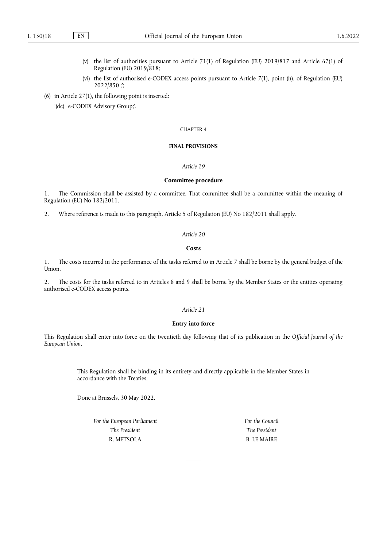- (v) the list of authorities pursuant to Article 71(1) of Regulation (EU) 2019/817 and Article 67(1) of Regulation (EU)  $2019/818$ ;
- (vi) the list of authorised e-CODEX access points pursuant to Article 7(1), point (h), of Regulation (EU) 2022/850 ;';
- (6) in Article 27(1), the following point is inserted:

'(dc) e-CODEX Advisory Group;'.

#### CHAPTER 4

# **FINAL PROVISIONS**

# *Article 19*

## **Committee procedure**

1. The Commission shall be assisted by a committee. That committee shall be a committee within the meaning of Regulation (EU) No 182/2011.

2. Where reference is made to this paragraph, Article 5 of Regulation (EU) No 182/2011 shall apply.

# *Article 20*

# **Costs**

1. The costs incurred in the performance of the tasks referred to in Article 7 shall be borne by the general budget of the Union.

2. The costs for the tasks referred to in Articles 8 and 9 shall be borne by the Member States or the entities operating authorised e-CODEX access points.

# *Article 21*

# **Entry into force**

This Regulation shall enter into force on the twentieth day following that of its publication in the *Official Journal of the European Union*.

> This Regulation shall be binding in its entirety and directly applicable in the Member States in accordance with the Treaties.

Done at Brussels, 30 May 2022.

*For the European Parliament The President* R. METSOLA

*For the Council The President* B. LE MAIRE